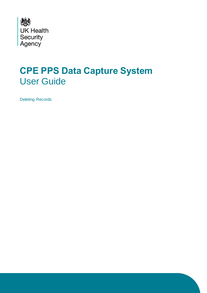

## **CPE PPS Data Capture System** User Guide

Deleting Records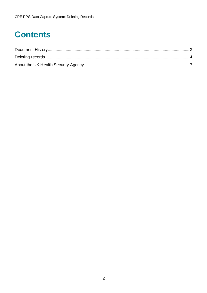# **Contents**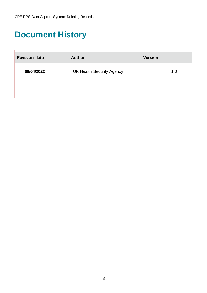## <span id="page-2-0"></span>**Document History**

| <b>Revision date</b> | <b>Author</b>                    | <b>Version</b> |  |  |
|----------------------|----------------------------------|----------------|--|--|
| 08/04/2022           | <b>UK Health Security Agency</b> | 1.0            |  |  |
|                      |                                  |                |  |  |
|                      |                                  |                |  |  |
|                      |                                  |                |  |  |
|                      |                                  |                |  |  |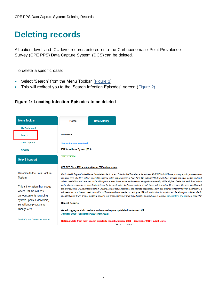### <span id="page-3-0"></span>**Deleting records**

All patient-level and ICU-level records entered onto the Carbapenemase Point Prevalence Survey (CPE PPS) Data Capture System (DCS) can be deleted.

To delete a specific case:

- Select 'Search' from the Menu Toolbar [\(Figure 1\)](#page-3-1)
- This will redirect you to the 'Search Infection Episodes' screen (Figure 2)

#### <span id="page-3-1"></span>**Figure 1: Locating Infection Episodes to be deleted**

| <b>Menu Toolbar</b>                                                             | Home                                    | <b>Data Quality</b>                                   |                                                                                                                                                                                                                                                                                                                                                                                                                                                                                                                                                                                                                                                                          |
|---------------------------------------------------------------------------------|-----------------------------------------|-------------------------------------------------------|--------------------------------------------------------------------------------------------------------------------------------------------------------------------------------------------------------------------------------------------------------------------------------------------------------------------------------------------------------------------------------------------------------------------------------------------------------------------------------------------------------------------------------------------------------------------------------------------------------------------------------------------------------------------------|
| <b>My Dashboard</b>                                                             |                                         |                                                       |                                                                                                                                                                                                                                                                                                                                                                                                                                                                                                                                                                                                                                                                          |
| <b>Search</b>                                                                   | <b>Welcome-ICU</b>                      |                                                       |                                                                                                                                                                                                                                                                                                                                                                                                                                                                                                                                                                                                                                                                          |
| <b>Case Capture</b>                                                             | <b>System Announcements-ICU</b>         |                                                       |                                                                                                                                                                                                                                                                                                                                                                                                                                                                                                                                                                                                                                                                          |
| <b>Reports</b>                                                                  | <b>ICU Surveillance System (DCS)</b>    |                                                       |                                                                                                                                                                                                                                                                                                                                                                                                                                                                                                                                                                                                                                                                          |
| <b>Help &amp; Support</b>                                                       | <b>TEST SYSTEM</b>                      |                                                       |                                                                                                                                                                                                                                                                                                                                                                                                                                                                                                                                                                                                                                                                          |
|                                                                                 |                                         | CPE PPE Study 2022 - information on PPE and enrolment |                                                                                                                                                                                                                                                                                                                                                                                                                                                                                                                                                                                                                                                                          |
| <b>Welcome to the Data Capture</b><br>System                                    |                                         |                                                       | Public Health England's Healthcare Associated Infections and Antimicrobial Resistance department (PHE HCAI & AMR) are planning a point prevalence sur<br>intensive care. The PPS will run, subject to capacity, in the first two weeks of April 2022. We will select NHS Trusts from across England at random and invit-<br>adults, paediatrics, and neonates. Units which provide level 3 care, either exclusively or alongside other levels, will be eligible. If selected, each Trust will be                                                                                                                                                                         |
| This is the system homepage<br>where UKHSA will post<br>announcements regarding |                                         |                                                       | units, who are inpatients on a single day (chosen by the Trust) within the two-week study period. Trusts with fewer than 20 occupied ICU beds should include<br>the prevalence of CPE in intensive care in England, across adult, paediatric, and neonatal populations. It will also allow us to identify key risk factors for CPE<br>will hear from us in the next week or two if your Trust is randomly selected to participate. We will send further information and the study protocol then. Partici<br>important study. If you are not randomly selected, but are keen for your Trust to participate, please do get in touch at cpe.pps@phe.gov.uk we are happy for |
| system updates, downtime,<br>surveillance programme                             | <b>Recent Reports:</b>                  |                                                       |                                                                                                                                                                                                                                                                                                                                                                                                                                                                                                                                                                                                                                                                          |
| changes etc.                                                                    | January 2020 - September 2021 (Q16-Q22) |                                                       | Generic aggregate adult, paediatric and neonatal reports - published September 2021                                                                                                                                                                                                                                                                                                                                                                                                                                                                                                                                                                                      |
| See FAQs and Content for more info                                              |                                         |                                                       | National data from most recent quarterly report: January 2020 - September 2021- Adult Units                                                                                                                                                                                                                                                                                                                                                                                                                                                                                                                                                                              |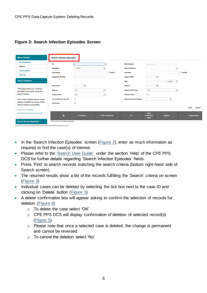#### **Figure 2: Search Infection Episodes Screen**

| <b>Menu Toolbar</b>                                            | <b>Search Infection Episodes</b> |                  |                          |                               |                                                 |                          |                      |
|----------------------------------------------------------------|----------------------------------|------------------|--------------------------|-------------------------------|-------------------------------------------------|--------------------------|----------------------|
| <b>My Dashboard</b>                                            | ID                               |                  |                          | <b>NHS Number</b>             |                                                 |                          |                      |
| <b>Search</b>                                                  | <b>Condition</b>                 | $-$ Select $-$   | $\blacktriangledown$     | <b>Data Collection</b>        |                                                 | $\overline{\phantom{0}}$ |                      |
| <b>Case Capture</b>                                            | <b>First Name</b>                |                  | $\Box$ Partial           | <b>Surname</b>                |                                                 |                          | $\Box$ Partial       |
| <b>Reports</b>                                                 |                                  |                  |                          |                               |                                                 |                          |                      |
|                                                                | <b>Specimen Number</b>           |                  |                          | Date of Birth                 |                                                 | 画                        |                      |
| <b>Help &amp; Support</b>                                      |                                  |                  |                          | Age                           |                                                 | $-$ Select $ -$          |                      |
|                                                                | <b>Date From</b>                 | 圃                |                          | Date To                       |                                                 | 画                        |                      |
| This page allows an infection<br>episode to be found using the | Region                           | $-AII-$          | $\cdot$                  | <b>Organisation Type</b>      | $-AII-$                                         | $\overline{\phantom{a}}$ |                      |
| search facility.                                               | Organisation                     | $-AII-$          | $\overline{\phantom{a}}$ | <b>Shared Cases</b>           | $\Box$                                          |                          |                      |
| For a more refined search result                               | Incomplete for sign-off          | $\Box$           |                          | <b>Apportionment Category</b> |                                                 | $\overline{\phantom{a}}$ |                      |
| please complete as many of the<br>search criteria as possible. | <b>PIR Cases</b>                 | $\Box$           |                          |                               |                                                 |                          |                      |
| Click here to view guide                                       |                                  |                  |                          |                               |                                                 |                          | Find<br><b>Reset</b> |
| See FAQs and Content for more info                             | П                                | <b>Condition</b> | <b>Data Collection</b>   | <b>ID</b>                     | <b>Data</b><br><b>Collection</b><br><b>Date</b> | <b>Region</b>            | Organisation         |
| <b>Key to Screen Symbols</b>                                   | There are no records to display  |                  |                          |                               |                                                 |                          |                      |

https://dev-icu.phe.org.uk/WebPages/CaseCapture/SearchInfectionEpisodes.aspx

- In the 'Search Infection Episodes' screen (Figure 2), enter as much information as required to find the case(s) of interest.
- Please refer to the ['Search User Guide'](https://icudcs.phe.org.uk/ContentManagement/LinksAndAnnouncements/CPEPPSDCS_Case_Capture_Search_UserGuide_v1.0.pdf) under the section 'Help' of the CPE PPS DCS for further details regarding 'Search Infection Episodes' fields.
- Press 'Find' to search records matching the search criteria (bottom right-hand side of Search screen).
- The returned results show a list of the records fulfilling the 'Search' criteria on screen [\(Figure 3\)](#page-4-0)
- Individual cases can be deleted by selecting the tick box next to the case ID and clicking on 'Delete' button [\(Figure 3\)](#page-4-0)
- <span id="page-4-0"></span>• A delete confirmation box will appear asking to confirm the selection of records for deletion [\(Figure 4\)](#page-5-0)
	- o To delete the case select 'OK'
	- o CPE PPS DCS will display confirmation of deletion of selected record(s) [\(Figure 5\)](#page-5-1)
	- o Please note that once a selected case is deleted, the change is permanent and cannot be reversed.
	- o To cancel the deletion select 'No'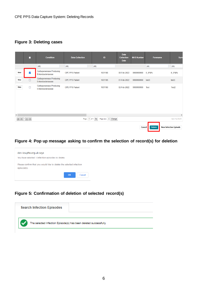#### **Figure 3: Deleting cases**

|             | П                    | <b>Condition</b>                                     | <b>Data Collection</b> | ID                                     | <b>Data</b><br><b>Collection</b><br>Date | <b>NHS Number</b> | Forename          | Sum                          |
|-------------|----------------------|------------------------------------------------------|------------------------|----------------------------------------|------------------------------------------|-------------------|-------------------|------------------------------|
|             |                      | (A  )                                                | (A  )                  | (A  )                                  |                                          |                   | (AII)             | (AII)                        |
| <b>View</b> | $\blacktriangledown$ | <b>Carbapenemase Producing</b><br>Enterobacteriaceae | <b>CPE PPS Patient</b> | 1031186                                | 08-Feb-2022                              | 9999999999        | $8 - 9*8%$        | 8 9 * 8 %                    |
| <b>View</b> |                      | <b>Carbapenemase Producing</b><br>Enterobacteriaceae | <b>CPE PPS Patient</b> | 1031185                                | 01-Feb-2022                              | 9999999999        | test <sub>3</sub> | test3                        |
| <b>View</b> | $\Box$               | <b>Carbapenemase Producing</b><br>Enterobacteriaceae | <b>CPE PPS Patient</b> | 1031180                                | 02-Feb-2022                              | 9999999999        | Test              | Test <sub>2</sub>            |
| ≺           |                      |                                                      |                        |                                        |                                          |                   |                   | $\rightarrow$                |
|             | $M$ $4$ $1$ $N$ $M$  |                                                      |                        | Page: 1 of 1 Go<br>Page size: 3 Change |                                          |                   |                   | Item 1 to 3 of 3             |
|             |                      |                                                      |                        |                                        |                                          | <b>Cancel</b>     | <b>Delete</b>     | <b>New Infection Episode</b> |

<span id="page-5-0"></span>**Figure 4: Pop up message asking to confirm the selection of record(s) for deletion**



### <span id="page-5-1"></span>**Figure 5: Confirmation of deletion of selected record(s)**